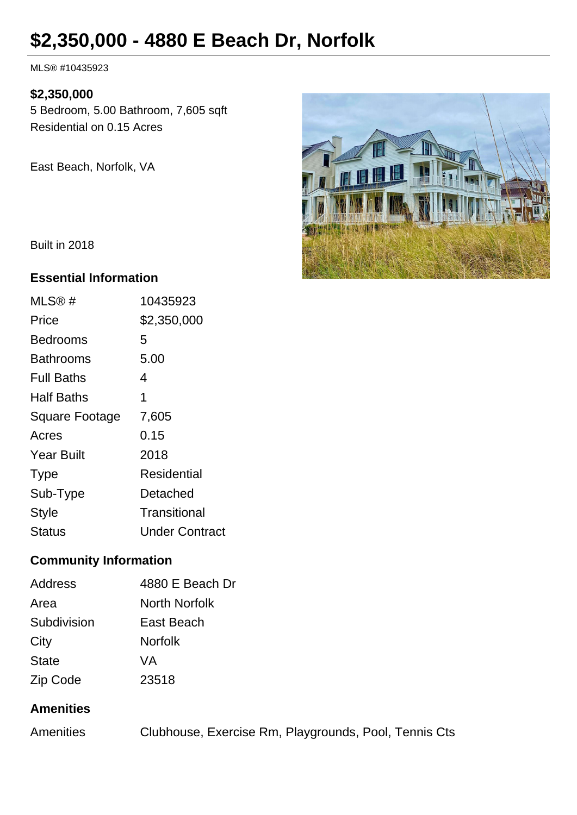# **\$2,350,000 - 4880 E Beach Dr, Norfolk**

MLS® #10435923

#### **\$2,350,000**

5 Bedroom, 5.00 Bathroom, 7,605 sqft Residential on 0.15 Acres

East Beach, Norfolk, VA



Built in 2018

#### **Essential Information**

| MLS@#             | 10435923              |
|-------------------|-----------------------|
| Price             | \$2,350,000           |
| Bedrooms          | 5                     |
| <b>Bathrooms</b>  | 5.00                  |
| <b>Full Baths</b> | 4                     |
| Half Baths        | 1                     |
| Square Footage    | 7,605                 |
| Acres             | 0.15                  |
| <b>Year Built</b> | 2018                  |
| <b>Type</b>       | Residential           |
| Sub-Type          | Detached              |
| Style             | Transitional          |
| Status            | <b>Under Contract</b> |

#### **Community Information**

| <b>Address</b> | 4880 E Beach Dr |
|----------------|-----------------|
| Area           | North Norfolk   |
| Subdivision    | East Beach      |
| City           | <b>Norfolk</b>  |
| <b>State</b>   | VA.             |
| Zip Code       | 23518           |

#### **Amenities**

| <b>Amenities</b> |  | Clubhouse, Exercise Rm, Playgrounds, Pool, Tennis Cts |  |
|------------------|--|-------------------------------------------------------|--|
|                  |  |                                                       |  |